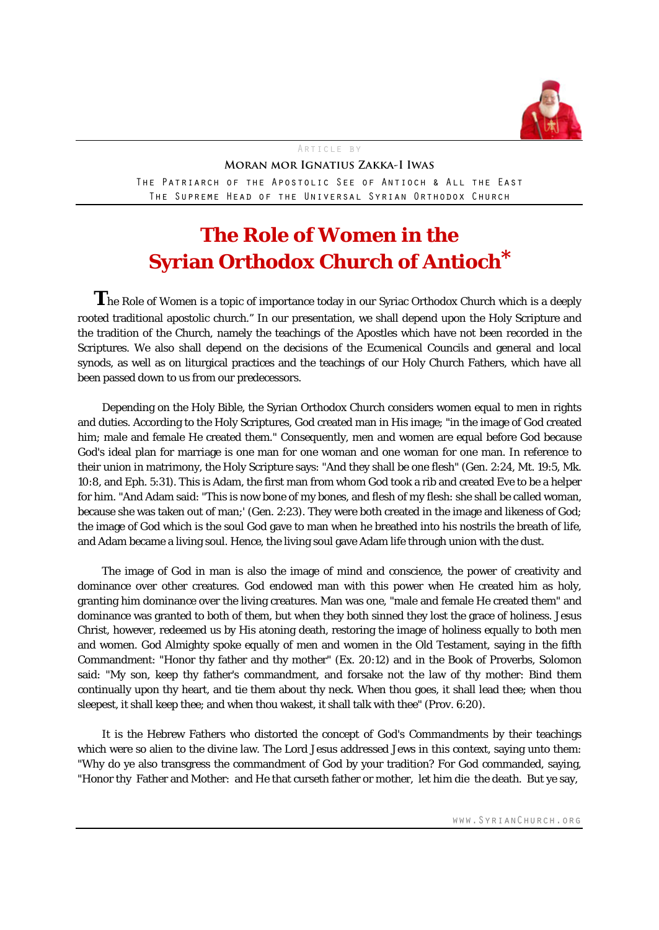

# Article by **Moran mor Ignatius Zakka-I Iwas**

The Patriarch of the Apostolic See of Antioch & All the East The Supreme Head of the Universal Syrian Orthodox Church

# **The Role of Women in the Syrian Orthodox Church of Antioch\***

The Role of Women is a topic of importance today in our Syriac Orthodox Church which is a deeply rooted traditional apostolic church." In our presentation, we shall depend upon the Holy Scripture and the tradition of the Church, namely the teachings of the Apostles which have not been recorded in the Scriptures. We also shall depend on the decisions of the Ecumenical Councils and general and local synods, as well as on liturgical practices and the teachings of our Holy Church Fathers, which have all been passed down to us from our predecessors.

Depending on the Holy Bible, the Syrian Orthodox Church considers women equal to men in rights and duties. According to the Holy Scriptures, God created man in His image; "in the image of God created him; male and female He created them." Consequently, men and women are equal before God because God's ideal plan for marriage is one man for one woman and one woman for one man. In reference to their union in matrimony, the Holy Scripture says: "And they shall be one flesh" (Gen. 2:24, Mt. 19:5, Mk. 10:8, and Eph. 5:31). This is Adam, the first man from whom God took a rib and created Eve to be a helper for him. "And Adam said: "This is now bone of my bones, and flesh of my flesh: she shall be called woman, because she was taken out of man;' (Gen. 2:23). They were both created in the image and likeness of God; the image of God which is the soul God gave to man when he breathed into his nostrils the breath of life, and Adam became a living soul. Hence, the living soul gave Adam life through union with the dust.

The image of God in man is also the image of mind and conscience, the power of creativity and dominance over other creatures. God endowed man with this power when He created him as holy, granting him dominance over the living creatures. Man was one, "male and female He created them" and dominance was granted to both of them, but when they both sinned they lost the grace of holiness. Jesus Christ, however, redeemed us by His atoning death, restoring the image of holiness equally to both men and women. God Almighty spoke equally of men and women in the Old Testament, saying in the fifth Commandment: "Honor thy father and thy mother" (Ex. 20:12) and in the Book of Proverbs, Solomon said: "My son, keep thy father's commandment, and forsake not the law of thy mother: Bind them continually upon thy heart, and tie them about thy neck. When thou goes, it shall lead thee; when thou sleepest, it shall keep thee; and when thou wakest, it shall talk with thee" (Prov. 6:20).

It is the Hebrew Fathers who distorted the concept of God's Commandments by their teachings which were so alien to the divine law. The Lord Jesus addressed Jews in this context, saying unto them: "Why do ye also transgress the commandment of God by your tradition? For God commanded, saying, "Honor thy Father and Mother: and He that curseth father or mother, let him die the death. But ye say,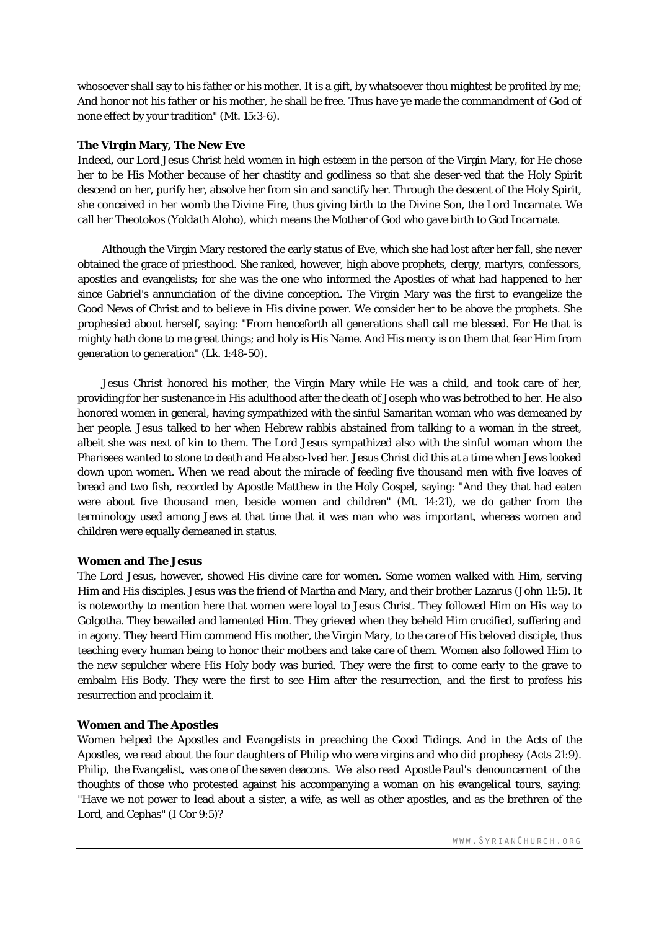whosoever shall say to his father or his mother. It is a gift, by whatsoever thou mightest be profited by me; And honor not his father or his mother, he shall be free. Thus have ye made the commandment of God of none effect by your tradition" (Mt. 15:3-6).

## **The Virgin Mary, The New Eve**

Indeed, our Lord Jesus Christ held women in high esteem in the person of the Virgin Mary, for He chose her to be His Mother because of her chastity and godliness so that she deser-ved that the Holy Spirit descend on her, purify her, absolve her from sin and sanctify her. Through the descent of the Holy Spirit, she conceived in her womb the Divine Fire, thus giving birth to the Divine Son, the Lord Incarnate. We call her Theotokos (*Yoldath Aloho*), which means the Mother of God who gave birth to God Incarnate.

Although the Virgin Mary restored the early status of Eve, which she had lost after her fall, she never obtained the grace of priesthood. She ranked, however, high above prophets, clergy, martyrs, confessors, apostles and evangelists; for she was the one who informed the Apostles of what had happened to her since Gabriel's annunciation of the divine conception. The Virgin Mary was the first to evangelize the Good News of Christ and to believe in His divine power. We consider her to be above the prophets. She prophesied about herself, saying: "From henceforth all generations shall call me blessed. For He that is mighty hath done to me great things; and holy is His Name. And His mercy is on them that fear Him from generation to generation" (Lk. 1:48-50).

Jesus Christ honored his mother, the Virgin Mary while He was a child, and took care of her, providing for her sustenance in His adulthood after the death of Joseph who was betrothed to her. He also honored women in general, having sympathized with the sinful Samaritan woman who was demeaned by her people. Jesus talked to her when Hebrew rabbis abstained from talking to a woman in the street, albeit she was next of kin to them. The Lord Jesus sympathized also with the sinful woman whom the Pharisees wanted to stone to death and He abso-lved her. Jesus Christ did this at a time when Jews looked down upon women. When we read about the miracle of feeding five thousand men with five loaves of bread and two fish, recorded by Apostle Matthew in the Holy Gospel, saying: "And they that had eaten were about five thousand men, beside women and children" (Mt. 14:21), we do gather from the terminology used among Jews at that time that it was man who was important, whereas women and children were equally demeaned in status.

## **Women and The Jesus**

The Lord Jesus, however, showed His divine care for women. Some women walked with Him, serving Him and His disciples. Jesus was the friend of Martha and Mary, and their brother Lazarus (John 11:5). It is noteworthy to mention here that women were loyal to Jesus Christ. They followed Him on His way to Golgotha. They bewailed and lamented Him. They grieved when they beheld Him crucified, suffering and in agony. They heard Him commend His mother, the Virgin Mary, to the care of His beloved disciple, thus teaching every human being to honor their mothers and take care of them. Women also followed Him to the new sepulcher where His Holy body was buried. They were the first to come early to the grave to embalm His Body. They were the first to see Him after the resurrection, and the first to profess his resurrection and proclaim it.

# **Women and The Apostles**

Women helped the Apostles and Evangelists in preaching the Good Tidings. And in the Acts of the Apostles, we read about the four daughters of Philip who were virgins and who did prophesy (Acts 21:9). Philip, the Evangelist, was one of the seven deacons. We also read Apostle Paul's denouncement of the thoughts of those who protested against his accompanying a woman on his evangelical tours, saying: "Have we not power to lead about a sister, a wife, as well as other apostles, and as the brethren of the Lord, and Cephas" (I Cor 9:5)?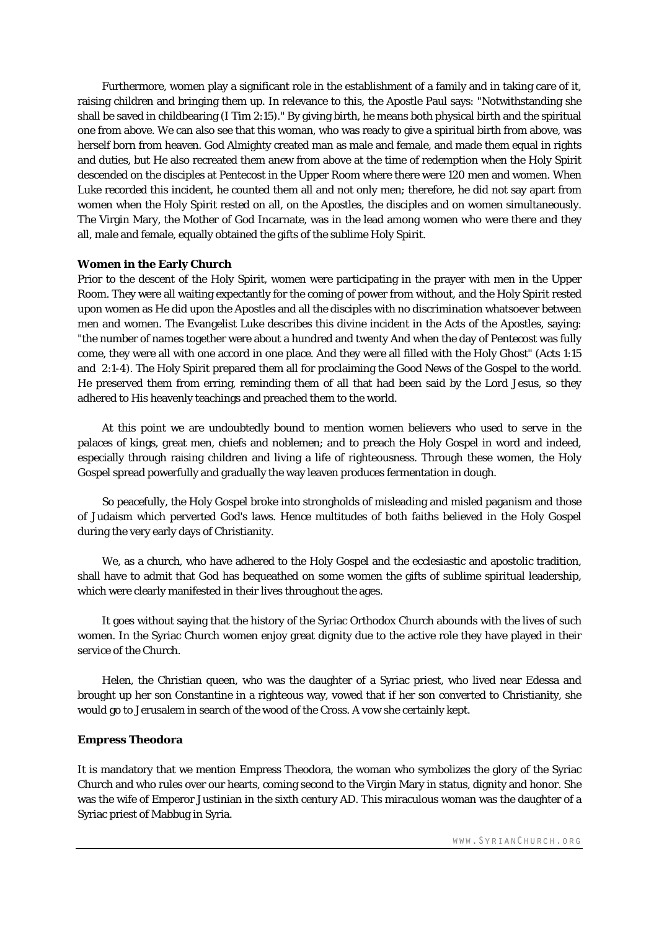Furthermore, women play a significant role in the establishment of a family and in taking care of it, raising children and bringing them up. In relevance to this, the Apostle Paul says: "Notwithstanding she shall be saved in childbearing (I Tim 2:15)." By giving birth, he means both physical birth and the spiritual one from above. We can also see that this woman, who was ready to give a spiritual birth from above, was herself born from heaven. God Almighty created man as male and female, and made them equal in rights and duties, but He also recreated them anew from above at the time of redemption when the Holy Spirit descended on the disciples at Pentecost in the Upper Room where there were 120 men and women. When Luke recorded this incident, he counted them all and not only men; therefore, he did not say apart from women when the Holy Spirit rested on all, on the Apostles, the disciples and on women simultaneously. The Virgin Mary, the Mother of God Incarnate, was in the lead among women who were there and they all, male and female, equally obtained the gifts of the sublime Holy Spirit.

#### **Women in the Early Church**

Prior to the descent of the Holy Spirit, women were participating in the prayer with men in the Upper Room. They were all waiting expectantly for the coming of power from without, and the Holy Spirit rested upon women as He did upon the Apostles and all the disciples with no discrimination whatsoever between men and women. The Evangelist Luke describes this divine incident in the Acts of the Apostles, saying: "the number of names together were about a hundred and twenty And when the day of Pentecost was fully come, they were all with one accord in one place. And they were all filled with the Holy Ghost" (Acts 1:15 and 2:1-4). The Holy Spirit prepared them all for proclaiming the Good News of the Gospel to the world. He preserved them from erring, reminding them of all that had been said by the Lord Jesus, so they adhered to His heavenly teachings and preached them to the world.

At this point we are undoubtedly bound to mention women believers who used to serve in the palaces of kings, great men, chiefs and noblemen; and to preach the Holy Gospel in word and indeed, especially through raising children and living a life of righteousness. Through these women, the Holy Gospel spread powerfully and gradually the way leaven produces fermentation in dough.

So peacefully, the Holy Gospel broke into strongholds of misleading and misled paganism and those of Judaism which perverted God's laws. Hence multitudes of both faiths believed in the Holy Gospel during the very early days of Christianity.

We, as a church, who have adhered to the Holy Gospel and the ecclesiastic and apostolic tradition, shall have to admit that God has bequeathed on some women the gifts of sublime spiritual leadership, which were clearly manifested in their lives throughout the ages.

It goes without saying that the history of the Syriac Orthodox Church abounds with the lives of such women. In the Syriac Church women enjoy great dignity due to the active role they have played in their service of the Church.

Helen, the Christian queen, who was the daughter of a Syriac priest, who lived near Edessa and brought up her son Constantine in a righteous way, vowed that if her son converted to Christianity, she would go to Jerusalem in search of the wood of the Cross. A vow she certainly kept.

#### **Empress Theodora**

It is mandatory that we mention Empress Theodora, the woman who symbolizes the glory of the Syriac Church and who rules over our hearts, coming second to the Virgin Mary in status, dignity and honor. She was the wife of Emperor Justinian in the sixth century AD. This miraculous woman was the daughter of a Syriac priest of Mabbug in Syria.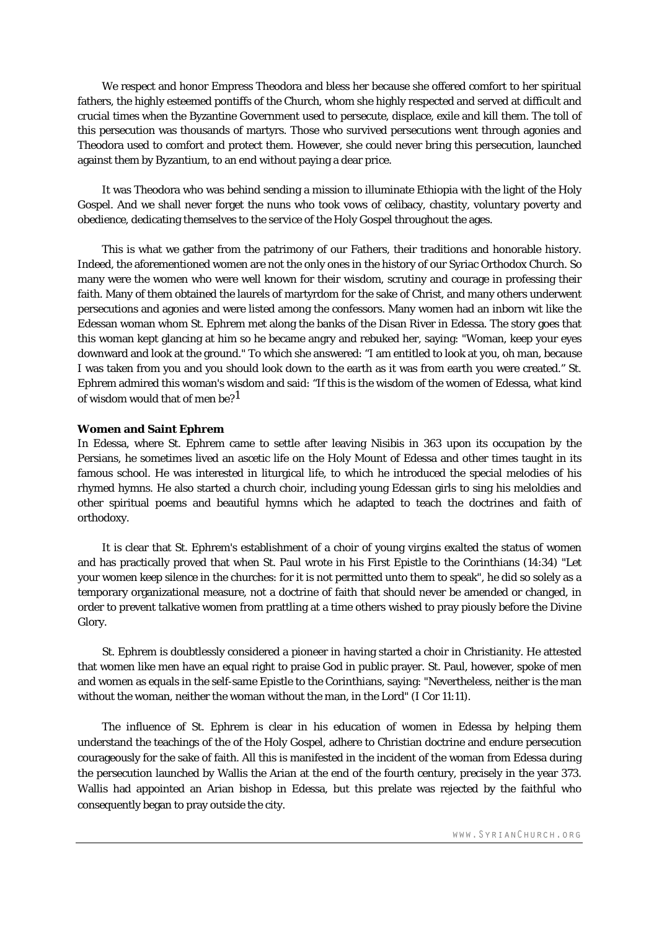We respect and honor Empress Theodora and bless her because she offered comfort to her spiritual fathers, the highly esteemed pontiffs of the Church, whom she highly respected and served at difficult and crucial times when the Byzantine Government used to persecute, displace, exile and kill them. The toll of this persecution was thousands of martyrs. Those who survived persecutions went through agonies and Theodora used to comfort and protect them. However, she could never bring this persecution, launched against them by Byzantium, to an end without paying a dear price.

It was Theodora who was behind sending a mission to illuminate Ethiopia with the light of the Holy Gospel. And we shall never forget the nuns who took vows of celibacy, chastity, voluntary poverty and obedience, dedicating themselves to the service of the Holy Gospel throughout the ages.

This is what we gather from the patrimony of our Fathers, their traditions and honorable history. Indeed, the aforementioned women are not the only ones in the history of our Syriac Orthodox Church. So many were the women who were well known for their wisdom, scrutiny and courage in professing their faith. Many of them obtained the laurels of martyrdom for the sake of Christ, and many others underwent persecutions and agonies and were listed among the confessors. Many women had an inborn wit like the Edessan woman whom St. Ephrem met along the banks of the Disan River in Edessa. The story goes that this woman kept glancing at him so he became angry and rebuked her, saying: "Woman, keep your eyes downward and look at the ground." To which she answered: "I am entitled to look at you, oh man, because I was taken from you and you should look down to the earth as it was from earth you were created." St. Ephrem admired this woman's wisdom and said: "If this is the wisdom of the women of Edessa, what kind of wisdom would that of men be?<sup>1</sup>

#### **Women and Saint Ephrem**

In Edessa, where St. Ephrem came to settle after leaving Nisibis in 363 upon its occupation by the Persians, he sometimes lived an ascetic life on the Holy Mount of Edessa and other times taught in its famous school. He was interested in liturgical life, to which he introduced the special melodies of his rhymed hymns. He also started a church choir, including young Edessan girls to sing his meloldies and other spiritual poems and beautiful hymns which he adapted to teach the doctrines and faith of orthodoxy.

It is clear that St. Ephrem's establishment of a choir of young virgins exalted the status of women and has practically proved that when St. Paul wrote in his First Epistle to the Corinthians (14:34) "Let your women keep silence in the churches: for it is not permitted unto them to speak", he did so solely as a temporary organizational measure, not a doctrine of faith that should never be amended or changed, in order to prevent talkative women from prattling at a time others wished to pray piously before the Divine Glory.

St. Ephrem is doubtlessly considered a pioneer in having started a choir in Christianity. He attested that women like men have an equal right to praise God in public prayer. St. Paul, however, spoke of men and women as equals in the self-same Epistle to the Corinthians, saying: "Nevertheless, neither is the man without the woman, neither the woman without the man, in the Lord" (I Cor 11:11).

The influence of St. Ephrem is clear in his education of women in Edessa by helping them understand the teachings of the of the Holy Gospel, adhere to Christian doctrine and endure persecution courageously for the sake of faith. All this is manifested in the incident of the woman from Edessa during the persecution launched by Wallis the Arian at the end of the fourth century, precisely in the year 373. Wallis had appointed an Arian bishop in Edessa, but this prelate was rejected by the faithful who consequently began to pray outside the city.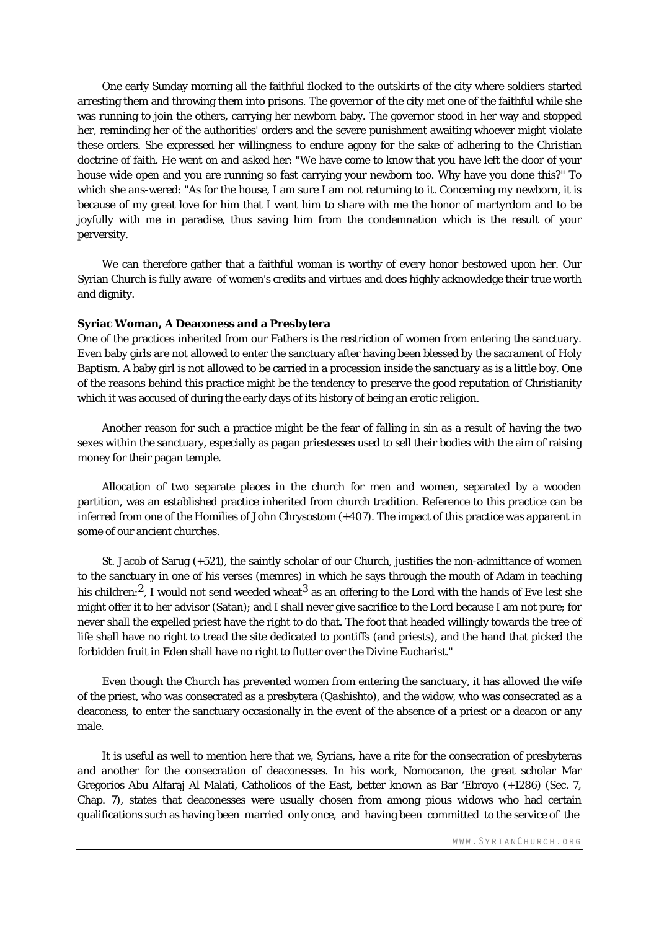One early Sunday morning all the faithful flocked to the outskirts of the city where soldiers started arresting them and throwing them into prisons. The governor of the city met one of the faithful while she was running to join the others, carrying her newborn baby. The governor stood in her way and stopped her, reminding her of the authorities' orders and the severe punishment awaiting whoever might violate these orders. She expressed her willingness to endure agony for the sake of adhering to the Christian doctrine of faith. He went on and asked her: "We have come to know that you have left the door of your house wide open and you are running so fast carrying your newborn too. Why have you done this?" To which she ans-wered: "As for the house, I am sure I am not returning to it. Concerning my newborn, it is because of my great love for him that I want him to share with me the honor of martyrdom and to be joyfully with me in paradise, thus saving him from the condemnation which is the result of your perversity.

We can therefore gather that a faithful woman is worthy of every honor bestowed upon her. Our Syrian Church is fully aware of women's credits and virtues and does highly acknowledge their true worth and dignity.

#### **Syriac Woman, A Deaconess and a Presbytera**

One of the practices inherited from our Fathers is the restriction of women from entering the sanctuary. Even baby girls are not allowed to enter the sanctuary after having been blessed by the sacrament of Holy Baptism. A baby girl is not allowed to be carried in a procession inside the sanctuary as is a little boy. One of the reasons behind this practice might be the tendency to preserve the good reputation of Christianity which it was accused of during the early days of its history of being an erotic religion.

Another reason for such a practice might be the fear of falling in sin as a result of having the two sexes within the sanctuary, especially as pagan priestesses used to sell their bodies with the aim of raising money for their pagan temple.

Allocation of two separate places in the church for men and women, separated by a wooden partition, was an established practice inherited from church tradition. Reference to this practice can be inferred from one of the Homilies of John Chrysostom (+407). The impact of this practice was apparent in some of our ancient churches.

St. Jacob of Sarug (+521), the saintly scholar of our Church, justifies the non-admittance of women to the sanctuary in one of his verses (memres) in which he says through the mouth of Adam in teaching his children:<sup>2</sup>, I would not send weeded wheat<sup>3</sup> as an offering to the Lord with the hands of Eve lest she might offer it to her advisor (Satan); and I shall never give sacrifice to the Lord because I am not pure; for never shall the expelled priest have the right to do that. The foot that headed willingly towards the tree of life shall have no right to tread the site dedicated to pontiffs (and priests), and the hand that picked the forbidden fruit in Eden shall have no right to flutter over the Divine Eucharist."

Even though the Church has prevented women from entering the sanctuary, it has allowed the wife of the priest, who was consecrated as a presbytera (*Qashishto*), and the widow, who was consecrated as a deaconess, to enter the sanctuary occasionally in the event of the absence of a priest or a deacon or any male.

It is useful as well to mention here that we, Syrians, have a rite for the consecration of presbyteras and another for the consecration of deaconesses. In his work, Nomocanon, the great scholar Mar Gregorios Abu Alfaraj Al Malati, Catholicos of the East, better known as Bar 'Ebroyo (+1286) (Sec. 7, Chap. 7), states that deaconesses were usually chosen from among pious widows who had certain qualifications such as having been married only once, and having been committed to the service of the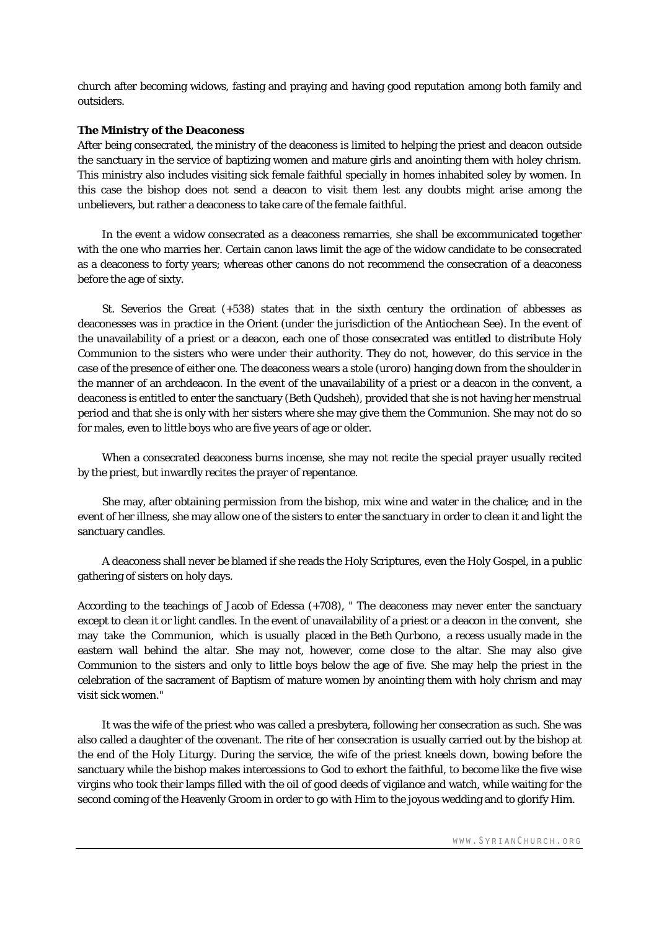church after becoming widows, fasting and praying and having good reputation among both family and outsiders.

### **The Ministry of the Deaconess**

After being consecrated, the ministry of the deaconess is limited to helping the priest and deacon outside the sanctuary in the service of baptizing women and mature girls and anointing them with holey chrism. This ministry also includes visiting sick female faithful specially in homes inhabited soley by women. In this case the bishop does not send a deacon to visit them lest any doubts might arise among the unbelievers, but rather a deaconess to take care of the female faithful.

In the event a widow consecrated as a deaconess remarries, she shall be excommunicated together with the one who marries her. Certain canon laws limit the age of the widow candidate to be consecrated as a deaconess to forty years; whereas other canons do not recommend the consecration of a deaconess before the age of sixty.

St. Severios the Great (+538) states that in the sixth century the ordination of abbesses as deaconesses was in practice in the Orient (under the jurisdiction of the Antiochean See). In the event of the unavailability of a priest or a deacon, each one of those consecrated was entitled to distribute Holy Communion to the sisters who were under their authority. They do not, however, do this service in the case of the presence of either one. The deaconess wears a stole (*uroro*) hanging down from the shoulder in the manner of an archdeacon. In the event of the unavailability of a priest or a deacon in the convent, a deaconess is entitled to enter the sanctuary (*Beth Qudsheh*), provided that she is not having her menstrual period and that she is only with her sisters where she may give them the Communion. She may not do so for males, even to little boys who are five years of age or older.

When a consecrated deaconess burns incense, she may not recite the special prayer usually recited by the priest, but inwardly recites the prayer of repentance.

She may, after obtaining permission from the bishop, mix wine and water in the chalice; and in the event of her illness, she may allow one of the sisters to enter the sanctuary in order to clean it and light the sanctuary candles.

A deaconess shall never be blamed if she reads the Holy Scriptures, even the Holy Gospel, in a public gathering of sisters on holy days.

According to the teachings of Jacob of Edessa (+708), " The deaconess may never enter the sanctuary except to clean it or light candles. In the event of unavailability of a priest or a deacon in the convent, she may take the Communion, which is usually placed in the *Beth Qurbono*, a recess usually made in the eastern wall behind the altar. She may not, however, come close to the altar. She may also give Communion to the sisters and only to little boys below the age of five. She may help the priest in the celebration of the sacrament of Baptism of mature women by anointing them with holy chrism and may visit sick women."

It was the wife of the priest who was called a presbytera, following her consecration as such. She was also called a daughter of the covenant. The rite of her consecration is usually carried out by the bishop at the end of the Holy Liturgy. During the service, the wife of the priest kneels down, bowing before the sanctuary while the bishop makes intercessions to God to exhort the faithful, to become like the five wise virgins who took their lamps filled with the oil of good deeds of vigilance and watch, while waiting for the second coming of the Heavenly Groom in order to go with Him to the joyous wedding and to glorify Him.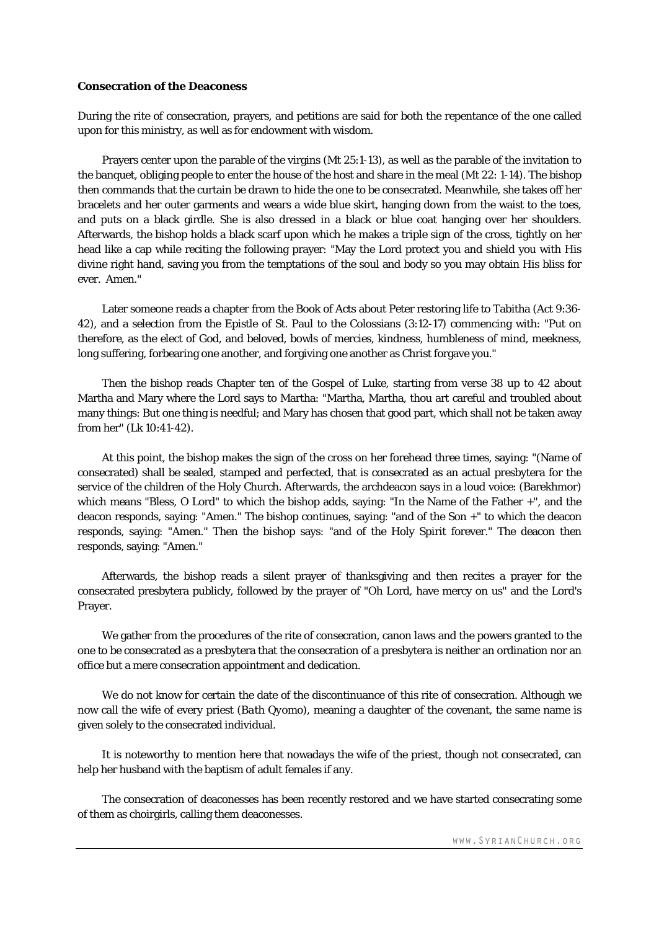#### **Consecration of the Deaconess**

During the rite of consecration, prayers, and petitions are said for both the repentance of the one called upon for this ministry, as well as for endowment with wisdom.

Prayers center upon the parable of the virgins (Mt 25:1-13), as well as the parable of the invitation to the banquet, obliging people to enter the house of the host and share in the meal (Mt 22: 1-14). The bishop then commands that the curtain be drawn to hide the one to be consecrated. Meanwhile, she takes off her bracelets and her outer garments and wears a wide blue skirt, hanging down from the waist to the toes, and puts on a black girdle. She is also dressed in a black or blue coat hanging over her shoulders. Afterwards, the bishop holds a black scarf upon which he makes a triple sign of the cross, tightly on her head like a cap while reciting the following prayer: "May the Lord protect you and shield you with His divine right hand, saving you from the temptations of the soul and body so you may obtain His bliss for ever. Amen."

Later someone reads a chapter from the Book of Acts about Peter restoring life to Tabitha (Act 9:36- 42), and a selection from the Epistle of St. Paul to the Colossians (3:12-17) commencing with: "Put on therefore, as the elect of God, and beloved, bowls of mercies, kindness, humbleness of mind, meekness, long suffering, forbearing one another, and forgiving one another as Christ forgave you."

Then the bishop reads Chapter ten of the Gospel of Luke, starting from verse 38 up to 42 about Martha and Mary where the Lord says to Martha: "Martha, Martha, thou art careful and troubled about many things: But one thing is needful; and Mary has chosen that good part, which shall not be taken away from her" (Lk 10:41-42).

At this point, the bishop makes the sign of the cross on her forehead three times, saying: "(Name of consecrated) shall be sealed, stamped and perfected, that is consecrated as an actual presbytera for the service of the children of the Holy Church. Afterwards, the archdeacon says in a loud voice: (Barekhmor) which means "Bless, O Lord" to which the bishop adds, saying: "In the Name of the Father +", and the deacon responds, saying: "Amen." The bishop continues, saying: "and of the Son +" to which the deacon responds, saying: "Amen." Then the bishop says: "and of the Holy Spirit forever." The deacon then responds, saying: "Amen."

Afterwards, the bishop reads a silent prayer of thanksgiving and then recites a prayer for the consecrated presbytera publicly, followed by the prayer of "Oh Lord, have mercy on us" and the Lord's Prayer.

We gather from the procedures of the rite of consecration, canon laws and the powers granted to the one to be consecrated as a presbytera that the consecration of a presbytera is neither an ordination nor an office but a mere consecration appointment and dedication.

We do not know for certain the date of the discontinuance of this rite of consecration. Although we now call the wife of every priest (*Bath Qyomo*), meaning a daughter of the covenant, the same name is given solely to the consecrated individual.

It is noteworthy to mention here that nowadays the wife of the priest, though not consecrated, can help her husband with the baptism of adult females if any.

The consecration of deaconesses has been recently restored and we have started consecrating some of them as choirgirls, calling them deaconesses.